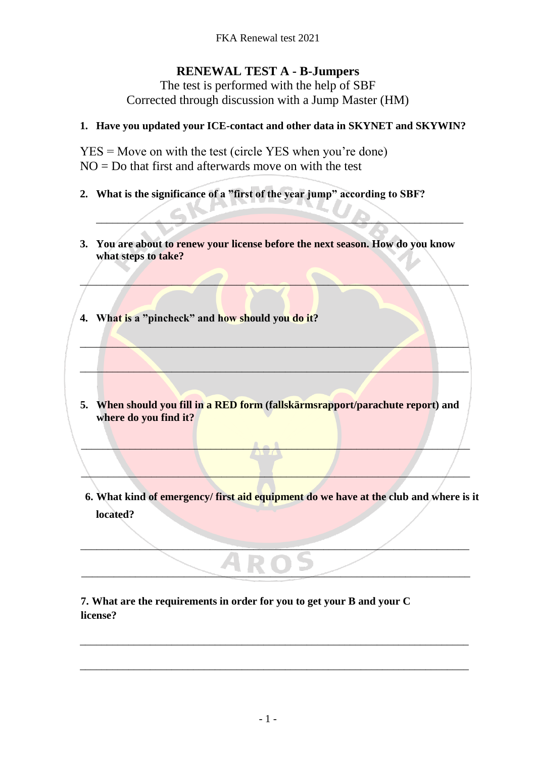## **RENEWAL TEST A - B-Jumpers**

The test is performed with the help of SBF Corrected through discussion with a Jump Master (HM)

## **1. Have you updated your ICE-contact and other data in SKYNET and SKYWIN?**

YES = Move on with the test (circle YES when you're done)  $NO = Do$  that first and afterwards move on with the test

- **2. What is the significance of a "first of the year jump" according to SBF?**
- **3. You are about to renew your license before the next season. How do you know what steps to take?**

 $\mathcal{L} = \{ \mathcal{L} \mid \mathcal{L} = \{ \mathcal{L} \mid \mathcal{L} = \{ \mathcal{L} \mid \mathcal{L} = \{ \mathcal{L} \mid \mathcal{L} = \{ \mathcal{L} \mid \mathcal{L} = \{ \mathcal{L} \mid \mathcal{L} = \{ \mathcal{L} \mid \mathcal{L} = \{ \mathcal{L} \mid \mathcal{L} = \{ \mathcal{L} \mid \mathcal{L} = \{ \mathcal{L} \mid \mathcal{L} = \{ \mathcal{L} \mid \mathcal{L} = \{ \mathcal{L} \mid \mathcal{L} = \{ \mathcal{L} \$ 

 $\mathcal{L} = \{ \mathcal{L} \mid \mathcal{L} \in \mathcal{L} \}$ 

 $\mathcal{L}=\mathcal{L}=\mathcal{L}=\mathcal{L}=\mathcal{L}=\mathcal{L}=\mathcal{L}=\mathcal{L}=\mathcal{L}=\mathcal{L}=\mathcal{L}=\mathcal{L}=\mathcal{L}=\mathcal{L}=\mathcal{L}=\mathcal{L}=\mathcal{L}=\mathcal{L}=\mathcal{L}=\mathcal{L}=\mathcal{L}=\mathcal{L}=\mathcal{L}=\mathcal{L}=\mathcal{L}=\mathcal{L}=\mathcal{L}=\mathcal{L}=\mathcal{L}=\mathcal{L}=\mathcal{L}=\mathcal{L}=\mathcal{L}=\mathcal{L}=\mathcal{L}=\mathcal{L}=\mathcal{$ 

 $\overline{\phantom{a}}$ 

- **4. What is a "pincheck" and how should you do it?**
- **5. When should you fill in a RED form (fallskärmsrapport/parachute report) and where do you find it?**

 $\blacktriangle \bullet \blacktriangle'$ 

 $\Box$ 

\_\_\_\_\_\_\_\_\_\_\_\_\_\_\_\_\_\_\_\_\_\_\_\_\_\_\_\_\_\_\_\_\_\_\_\_\_\_\_\_\_\_\_\_\_\_\_\_\_\_\_\_\_\_\_\_\_\_\_\_\_\_\_\_\_\_\_\_\_\_\_\_

\_\_\_\_\_\_\_\_\_\_\_\_\_\_\_\_\_\_\_\_\_\_\_\_\_\_\_\_\_\_\_\_\_\_\_\_\_\_\_\_\_\_\_\_\_\_\_\_\_\_\_\_\_\_\_\_\_\_\_\_\_\_\_\_\_\_\_\_\_\_\_\_

\_\_\_\_\_\_\_\_\_\_\_\_\_\_\_\_\_\_\_\_\_\_\_\_\_\_\_\_\_\_\_\_\_\_\_\_\_\_\_\_\_\_\_\_\_\_\_\_\_\_\_\_\_\_\_\_\_\_\_\_\_\_\_\_\_\_\_\_\_\_\_\_

\_\_\_\_\_\_\_\_\_\_\_\_\_\_\_\_\_\_\_\_\_\_\_\_\_\_\_\_\_\_\_\_\_\_\_\_\_\_\_\_\_\_\_\_\_\_\_\_\_\_\_\_\_\_\_\_\_\_\_\_\_\_\_\_\_\_\_\_\_\_\_\_

**6. What kind of emergency/ first aid equipment do we have at the club and where is it located?**

**7. What are the requirements in order for you to get your B and your C license?**